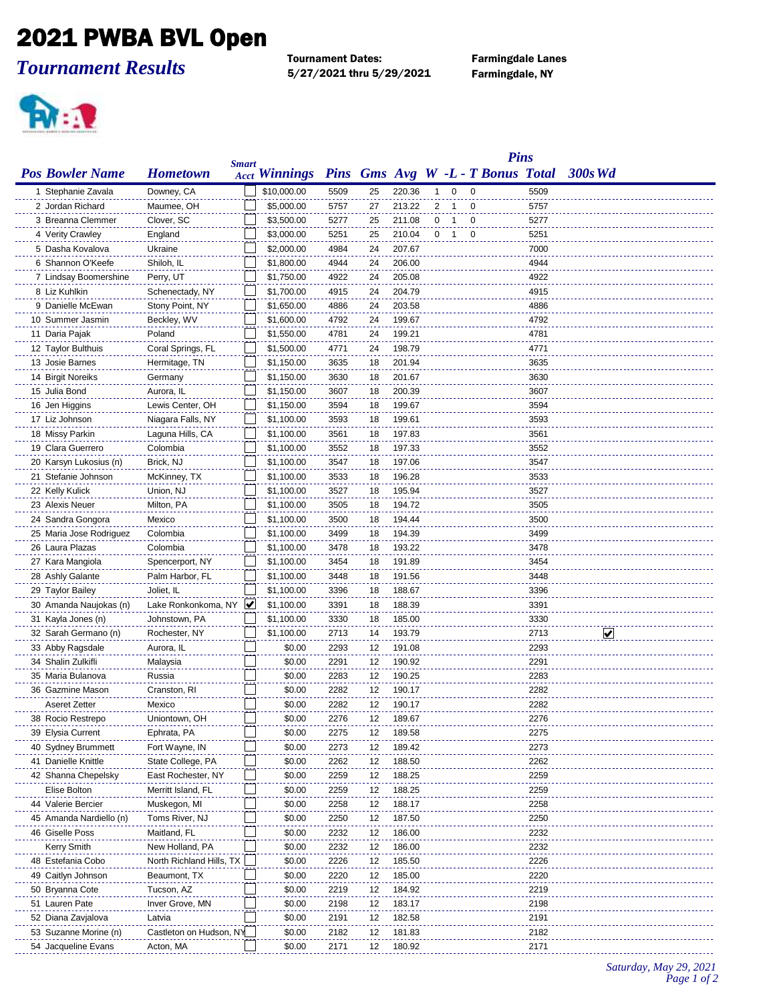## 2021 PWBA BVL Open

*Tournament Results*

Tournament Dates: Farmingdale Lanes 5/27/2021 thru 5/29/2021 Farmingdale, NY



|                         | <b>Pins</b>                     |   |                      |      |    |        |                |                |                         |                                   |      |          |
|-------------------------|---------------------------------|---|----------------------|------|----|--------|----------------|----------------|-------------------------|-----------------------------------|------|----------|
| <b>Pos Bowler Name</b>  | <b>Smart</b><br><b>Hometown</b> |   | <b>Acct Winnings</b> |      |    |        |                |                |                         | Pins Gms Avg W -L - T Bonus Total |      | 300s Wd  |
| 1 Stephanie Zavala      | Downey, CA                      |   | \$10,000.00          | 5509 | 25 | 220.36 | -1             | $\mathbf 0$    | $\mathbf 0$             |                                   | 5509 |          |
| 2 Jordan Richard        | Maumee, OH                      |   | \$5,000.00           | 5757 | 27 | 213.22 | $\overline{2}$ | $\mathbf 1$    | $\mathbf 0$             |                                   | 5757 |          |
| 3 Breanna Clemmer       | Clover, SC                      |   | \$3,500.00           | 5277 | 25 | 211.08 | 0              | $\overline{1}$ | 0                       |                                   | 5277 |          |
| 4 Verity Crawley        | England                         |   | \$3,000.00           | 5251 | 25 | 210.04 | 0              | $\overline{1}$ | $\overline{\mathbf{0}}$ |                                   | 5251 |          |
| 5 Dasha Kovalova        | Ukraine                         |   | \$2,000.00           | 4984 | 24 | 207.67 |                |                |                         |                                   | 7000 |          |
| 6 Shannon O'Keefe       | Shiloh, IL                      |   | \$1,800.00           | 4944 | 24 | 206.00 |                |                |                         |                                   | 4944 |          |
| 7 Lindsay Boomershine   | Perry, UT                       |   | \$1,750.00           | 4922 | 24 | 205.08 |                |                |                         |                                   | 4922 |          |
| 8 Liz Kuhlkin           | Schenectady, NY                 |   | \$1,700.00           | 4915 | 24 | 204.79 |                |                |                         |                                   | 4915 |          |
| 9 Danielle McEwan       | Stony Point, NY                 |   | \$1,650.00           | 4886 | 24 | 203.58 |                |                |                         |                                   | 4886 |          |
| 10 Summer Jasmin        | Beckley, WV                     |   | \$1,600.00           | 4792 | 24 | 199.67 |                |                |                         |                                   | 4792 |          |
| 11 Daria Pajak          | Poland                          |   | \$1,550.00           | 4781 | 24 | 199.21 |                |                |                         |                                   | 4781 |          |
| 12 Taylor Bulthuis      | Coral Springs, FL               |   | \$1,500.00           | 4771 | 24 | 198.79 |                |                |                         |                                   | 4771 |          |
| 13 Josie Barnes         | Hermitage, TN                   |   | \$1,150.00           | 3635 | 18 | 201.94 |                |                |                         |                                   | 3635 |          |
| 14 Birgit Noreiks       | Germany                         |   | \$1,150.00           | 3630 | 18 | 201.67 |                |                |                         |                                   | 3630 |          |
| 15 Julia Bond           | Aurora, IL                      |   | \$1,150.00           | 3607 | 18 | 200.39 |                |                |                         |                                   | 3607 |          |
| 16 Jen Higgins          | Lewis Center, OH                |   | \$1,150.00           | 3594 | 18 | 199.67 |                |                |                         |                                   | 3594 |          |
| 17 Liz Johnson          | Niagara Falls, NY               |   | \$1,100.00           | 3593 | 18 | 199.61 |                |                |                         |                                   | 3593 |          |
| 18 Missy Parkin         | Laguna Hills, CA                |   | \$1,100.00           | 3561 | 18 | 197.83 |                |                |                         |                                   | 3561 |          |
| 19 Clara Guerrero       | Colombia                        |   | \$1,100.00           | 3552 | 18 | 197.33 |                |                |                         |                                   | 3552 |          |
| 20 Karsyn Lukosius (n)  | Brick, NJ                       |   | \$1,100.00           | 3547 | 18 | 197.06 |                |                |                         |                                   | 3547 |          |
| 21 Stefanie Johnson     | McKinney, TX                    |   | \$1,100.00           | 3533 | 18 | 196.28 |                |                |                         |                                   | 3533 |          |
| 22 Kelly Kulick         | Union, NJ                       |   | \$1,100.00           | 3527 | 18 | 195.94 |                |                |                         |                                   | 3527 |          |
| 23 Alexis Neuer         | Milton, PA                      |   | \$1,100.00           | 3505 | 18 | 194.72 |                |                |                         |                                   | 3505 |          |
| 24 Sandra Gongora       | Mexico                          |   | \$1,100.00           | 3500 | 18 | 194.44 |                |                |                         |                                   | 3500 |          |
| 25 Maria Jose Rodriguez | Colombia                        |   | \$1,100.00           | 3499 | 18 | 194.39 |                |                |                         |                                   | 3499 |          |
| 26 Laura Plazas         | Colombia                        |   | \$1,100.00           | 3478 | 18 | 193.22 |                |                |                         |                                   | 3478 |          |
| 27 Kara Mangiola        | Spencerport, NY                 |   | \$1,100.00           | 3454 | 18 | 191.89 |                |                |                         |                                   | 3454 |          |
| 28 Ashly Galante        | Palm Harbor, FL                 |   | \$1,100.00           | 3448 | 18 | 191.56 |                |                |                         |                                   | 3448 |          |
| 29 Taylor Bailey        | Joliet, IL                      |   | \$1,100.00           | 3396 | 18 | 188.67 |                |                |                         |                                   | 3396 |          |
| 30 Amanda Naujokas (n)  | Lake Ronkonkoma, NY             | ₩ | \$1,100.00           | 3391 | 18 | 188.39 |                |                |                         |                                   | 3391 |          |
| 31 Kayla Jones (n)      | Johnstown, PA                   |   | \$1,100.00           | 3330 | 18 | 185.00 |                |                |                         |                                   | 3330 |          |
| 32 Sarah Germano (n)    | Rochester, NY                   |   | \$1,100.00           | 2713 | 14 | 193.79 |                |                |                         |                                   | 2713 | <u>V</u> |
| 33 Abby Ragsdale        | Aurora, IL                      |   | \$0.00               | 2293 | 12 | 191.08 |                |                |                         |                                   | 2293 |          |
| 34 Shalin Zulkifli      | Malaysia                        |   | \$0.00               | 2291 | 12 | 190.92 |                |                |                         |                                   | 2291 |          |
| 35 Maria Bulanova       | Russia                          |   | \$0.00               | 2283 | 12 | 190.25 |                |                |                         |                                   | 2283 |          |
| 36 Gazmine Mason        | Cranston, RI                    |   | \$0.00               | 2282 | 12 | 190.17 |                |                |                         |                                   | 2282 |          |
| <b>Aseret Zetter</b>    | Mexico                          |   | \$0.00               | 2282 | 12 | 190.17 |                |                |                         |                                   | 2282 |          |
| 38 Rocio Restrepo       | Uniontown, OH                   |   | \$0.00               | 2276 | 12 | 189.67 |                |                |                         |                                   | 2276 |          |
| 39 Elysia Current       | Ephrata, PA                     |   | \$0.00               | 2275 | 12 | 189.58 |                |                |                         |                                   | 2275 |          |
| 40 Sydney Brummett      | Fort Wayne, IN                  |   | \$0.00               | 2273 | 12 | 189.42 |                |                |                         |                                   | 2273 |          |
| 41 Danielle Knittle     | State College, PA               |   | \$0.00               | 2262 | 12 | 188.50 |                |                |                         |                                   | 2262 |          |
| 42 Shanna Chepelsky     | East Rochester, NY              |   | \$0.00               | 2259 | 12 | 188.25 |                |                |                         |                                   | 2259 |          |
| Elise Bolton            | Merritt Island, FL              |   | \$0.00               | 2259 | 12 | 188.25 |                |                |                         |                                   | 2259 |          |
| 44 Valerie Bercier      | Muskegon, MI                    |   | \$0.00               | 2258 | 12 | 188.17 |                |                |                         |                                   | 2258 |          |
| 45 Amanda Nardiello (n) | Toms River, NJ                  |   | \$0.00               | 2250 | 12 | 187.50 |                |                |                         |                                   | 2250 |          |
| 46 Giselle Poss         | Maitland, FL                    |   | \$0.00               | 2232 | 12 | 186.00 |                |                |                         |                                   | 2232 |          |
| <b>Kerry Smith</b>      | New Holland, PA                 |   | \$0.00               | 2232 | 12 | 186.00 |                |                |                         |                                   | 2232 |          |
| 48 Estefania Cobo       | North Richland Hills, TX        |   | \$0.00               | 2226 | 12 | 185.50 |                |                |                         |                                   | 2226 |          |
| 49 Caitlyn Johnson      | Beaumont, TX                    |   | \$0.00               | 2220 | 12 | 185.00 |                |                |                         |                                   | 2220 |          |
| 50 Bryanna Cote         | Tucson, AZ                      |   | \$0.00               | 2219 | 12 | 184.92 |                |                |                         |                                   | 2219 |          |
| 51 Lauren Pate          | Inver Grove, MN                 |   | \$0.00               | 2198 | 12 | 183.17 |                |                |                         |                                   | 2198 |          |
| 52 Diana Zavjalova      | Latvia                          |   | \$0.00               | 2191 | 12 | 182.58 |                |                |                         |                                   | 2191 |          |
| 53 Suzanne Morine (n)   | Castleton on Hudson, NY         |   | \$0.00               | 2182 | 12 | 181.83 |                |                |                         |                                   | 2182 |          |
| 54 Jacqueline Evans     | Acton, MA                       |   | \$0.00               | 2171 | 12 | 180.92 |                |                |                         |                                   | 2171 |          |
|                         |                                 |   |                      |      |    |        |                |                |                         |                                   |      |          |

## *Saturday, May 29, 2021 Page 1 of 2*